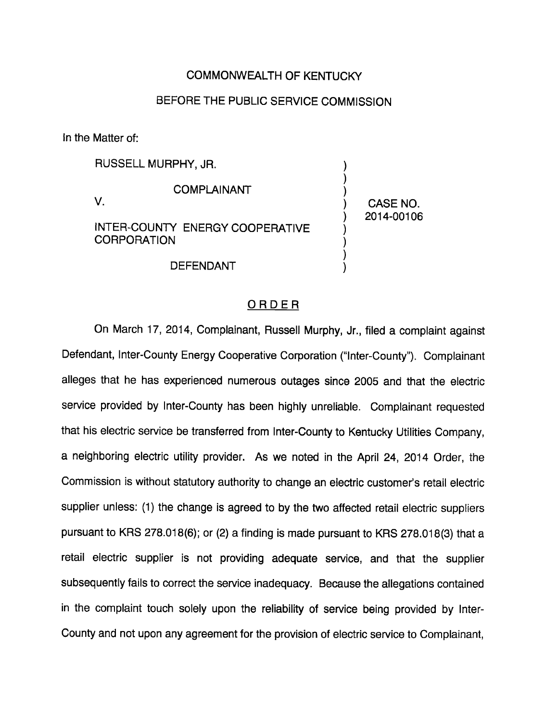## COMMONWEALTH OF KENTUCKY

## BEFORE THE PUBLIC SERVICE COMMISSION

In the Matter of:

RUSSELL MURPHY, JR. COMPLAINANT V. INTER-COUNTY ENERGY COOPERATIVE **CORPORATION** 

DEFENDANT

CASE NO. 2014-00106

## ORDER

On March 17, 2014, Complainant, Russell Murphy, Jr., filed a complaint against Defendant, Inter-County Energy Cooperative Corporation ("Inter-County"). Complainant alleges that he has experienced numerous outages since 2005 and that the electric service provided by Inter-County has been highly unreliable. Complainant requested that his electric service be transferred from Inter-County to Kentucky Utilities Company, a neighboring electric utility provider. As we noted in the April 24, 2014 Order, the Commission is without statutory authority to change an electric customer's retail electric supplier unless: (1) the change is agreed to by the two affected retail electric suppliers pursuant to KRS 278.018(6); or (2) a finding is made pursuant to KRS 278.018(3) that a retail electric supplier is not providing adequate service, and that the supplier subsequently fails to correct the service inadequacy. Because the allegations contained in the complaint touch solely upon the reliability of service being provided by Inter-County and not upon any agreement for the provision of electric service to Complainant,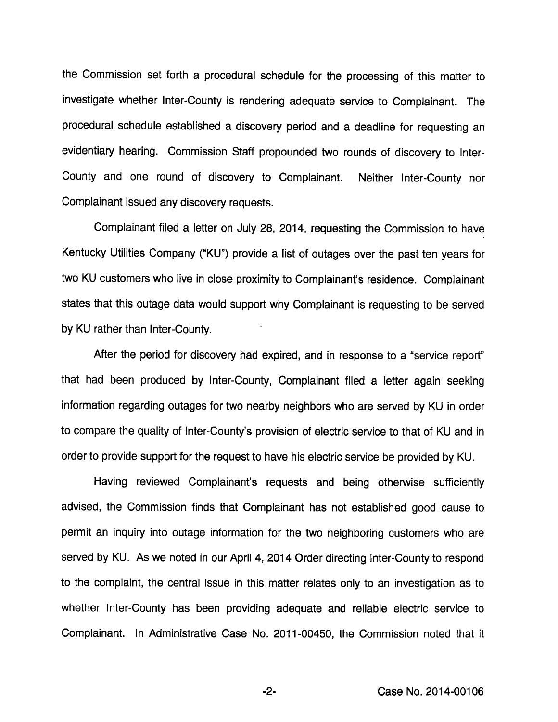the Commission set forth a procedural schedule for the processing of this matter to investigate whether Inter-County is rendering adequate service to Complainant. The procedural schedule established a discovery period and a deadline for requesting an evidentiary hearing. Commission Staff propounded two rounds of discovery to Inter-County and one round of discovery to Complainant. Neither Inter-County nor Complainant issued any discovery requests.

Complainant filed a letter on July 28, 2014, requesting the Commission to have Kentucky Utilities Company ("KU") provide a list of outages over the past ten years for two KU customers who live in close proximity to Complainant's residence. Complainant states that this outage data would support why Complainant is requesting to be served by KU rather than Inter-County.

After the period for discovery had expired, and in response to a "service report" that had been produced by Inter-County, Complainant filed a letter again seeking information regarding outages for two nearby neighbors who are served by KU in order to compare the quality of Inter-County's provision of electric service to that of KU and in order to provide support for the request to have his electric service be provided by KU.

Having reviewed Complainant's requests and being otherwise sufficiently advised, the Commission finds that Complainant has not established good cause to permit an inquiry into outage information for the two neighboring customers who are served by KU. As we noted in our April 4, 2014 Order directing Inter-County to respond to the complaint, the central issue in this matter relates only to an investigation as to whether Inter-County has been providing adequate and reliable electric service to Complainant. In Administrative Case No. 2011-00450, the Commission noted that it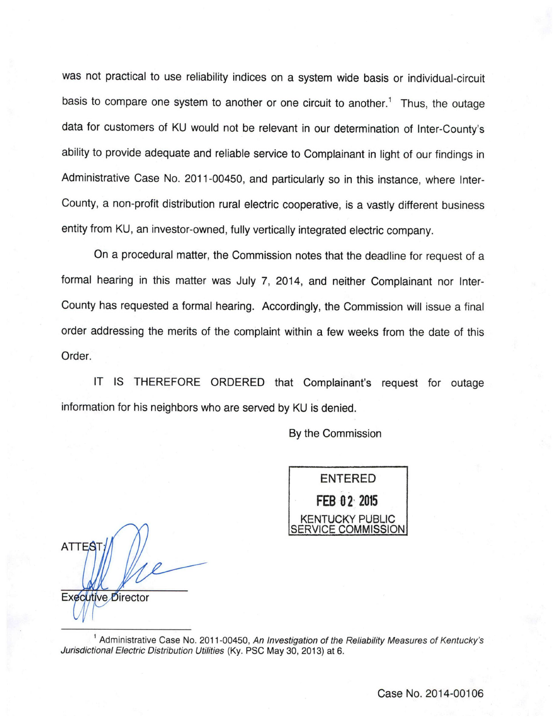was not practical to use reliability indices on a system wide basis or individual-circuit basis to compare one system to another or one circuit to another.<sup>1</sup> Thus, the outage data for customers of KU would not be relevant in our determination of Inter-County's ability to provide adequate and reliable service to Complainant in light of our findings in Administrative Case No. 2011-00450, and particularly so in this instance, where Inter-County, a non-profit distribution rural electric cooperative, is a vastly different business entity from KU, an investor-owned, fully vertically integrated electric company.

On a procedural matter, the Commission notes that the deadline for request of a formal hearing in this matter was July 7, 2014, and neither Complainant nor Inter-County has requested a formal hearing. Accordingly, the Commission will issue a final order addressing the merits of the complaint within a few weeks from the date of this Order.

IT IS THEREFORE ORDERED that Complainant's request for outage information for his neighbors who are served by KU is denied.

By the Commission



**ATTEST** Executive Director

<sup>1</sup> Administrative Case No. 2011-00450, An Investigation of the Reliability Measures of Kentucky's Jurisdictional Electric Distribution Utilities (Ky. PSC May 30, 2013) at 6.

Case No. 2014-00106